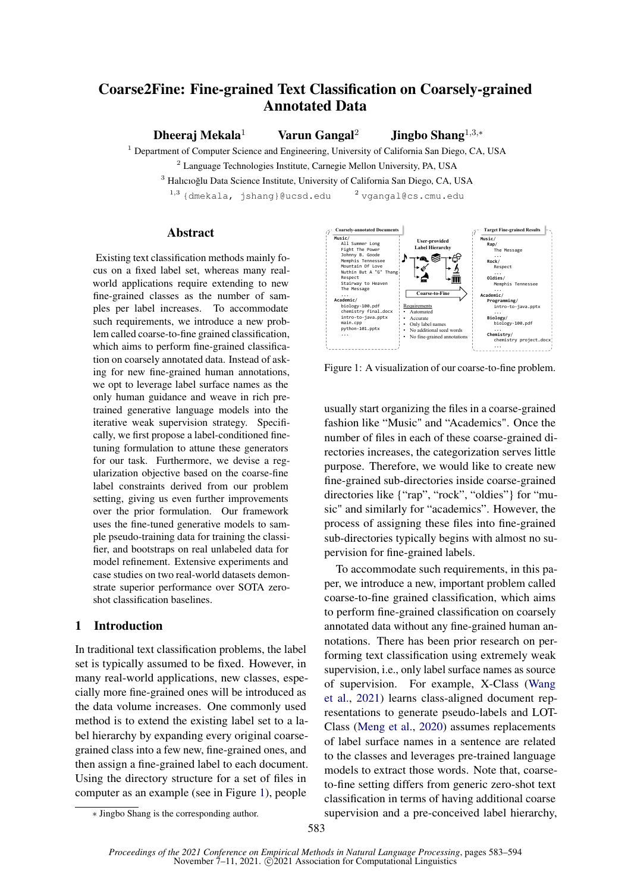# Coarse2Fine: Fine-grained Text Classification on Coarsely-grained Annotated Data

Dheeraj Mekala<sup>1</sup> Varun Gangal<sup>2</sup> Jingbo Shang<sup>1,3,</sup>\*

<sup>1</sup> Department of Computer Science and Engineering, University of California San Diego, CA, USA

<sup>2</sup> Language Technologies Institute, Carnegie Mellon University, PA, USA

<sup>3</sup> Halıcıoğlu Data Science Institute, University of California San Diego, CA, USA

 $^{1,3}$  {dmekala, jshang}@ucsd.edu  $^{2}$  vgangal@cs.cmu.edu

## **Abstract**

Existing text classification methods mainly focus on a fixed label set, whereas many realworld applications require extending to new fine-grained classes as the number of samples per label increases. To accommodate such requirements, we introduce a new problem called coarse-to-fine grained classification, which aims to perform fine-grained classification on coarsely annotated data. Instead of asking for new fine-grained human annotations, we opt to leverage label surface names as the only human guidance and weave in rich pretrained generative language models into the iterative weak supervision strategy. Specifically, we first propose a label-conditioned finetuning formulation to attune these generators for our task. Furthermore, we devise a regularization objective based on the coarse-fine label constraints derived from our problem setting, giving us even further improvements over the prior formulation. Our framework uses the fine-tuned generative models to sample pseudo-training data for training the classifier, and bootstraps on real unlabeled data for model refinement. Extensive experiments and case studies on two real-world datasets demonstrate superior performance over SOTA zeroshot classification baselines.

## 1 Introduction

In traditional text classification problems, the label set is typically assumed to be fixed. However, in many real-world applications, new classes, especially more fine-grained ones will be introduced as the data volume increases. One commonly used method is to extend the existing label set to a label hierarchy by expanding every original coarsegrained class into a few new, fine-grained ones, and then assign a fine-grained label to each document. Using the directory structure for a set of files in computer as an example (see in Figure [1\)](#page-0-0), people

<span id="page-0-0"></span>

Figure 1: A visualization of our coarse-to-fine problem.

usually start organizing the files in a coarse-grained fashion like "Music" and "Academics". Once the number of files in each of these coarse-grained directories increases, the categorization serves little purpose. Therefore, we would like to create new fine-grained sub-directories inside coarse-grained directories like {"rap", "rock", "oldies"} for "music" and similarly for "academics". However, the process of assigning these files into fine-grained sub-directories typically begins with almost no supervision for fine-grained labels.

To accommodate such requirements, in this paper, we introduce a new, important problem called coarse-to-fine grained classification, which aims to perform fine-grained classification on coarsely annotated data without any fine-grained human annotations. There has been prior research on performing text classification using extremely weak supervision, i.e., only label surface names as source of supervision. For example, X-Class [\(Wang](#page-9-0) [et al.,](#page-9-0) [2021\)](#page-9-0) learns class-aligned document representations to generate pseudo-labels and LOT-Class [\(Meng et al.,](#page-9-1) [2020\)](#page-9-1) assumes replacements of label surface names in a sentence are related to the classes and leverages pre-trained language models to extract those words. Note that, coarseto-fine setting differs from generic zero-shot text classification in terms of having additional coarse supervision and a pre-conceived label hierarchy,

<sup>∗</sup> Jingbo Shang is the corresponding author.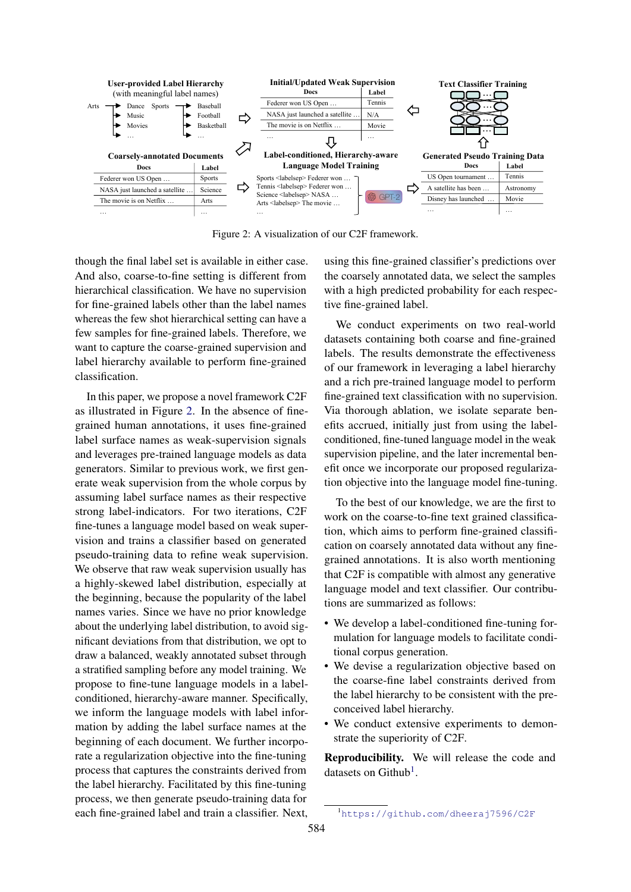<span id="page-1-0"></span>

Figure 2: A visualization of our C2F framework.

though the final label set is available in either case. And also, coarse-to-fine setting is different from hierarchical classification. We have no supervision for fine-grained labels other than the label names whereas the few shot hierarchical setting can have a few samples for fine-grained labels. Therefore, we want to capture the coarse-grained supervision and label hierarchy available to perform fine-grained classification.

In this paper, we propose a novel framework C2F as illustrated in Figure [2.](#page-1-0) In the absence of finegrained human annotations, it uses fine-grained label surface names as weak-supervision signals and leverages pre-trained language models as data generators. Similar to previous work, we first generate weak supervision from the whole corpus by assuming label surface names as their respective strong label-indicators. For two iterations, C2F fine-tunes a language model based on weak supervision and trains a classifier based on generated pseudo-training data to refine weak supervision. We observe that raw weak supervision usually has a highly-skewed label distribution, especially at the beginning, because the popularity of the label names varies. Since we have no prior knowledge about the underlying label distribution, to avoid significant deviations from that distribution, we opt to draw a balanced, weakly annotated subset through a stratified sampling before any model training. We propose to fine-tune language models in a labelconditioned, hierarchy-aware manner. Specifically, we inform the language models with label information by adding the label surface names at the beginning of each document. We further incorporate a regularization objective into the fine-tuning process that captures the constraints derived from the label hierarchy. Facilitated by this fine-tuning process, we then generate pseudo-training data for each fine-grained label and train a classifier. Next, using this fine-grained classifier's predictions over the coarsely annotated data, we select the samples with a high predicted probability for each respective fine-grained label.

We conduct experiments on two real-world datasets containing both coarse and fine-grained labels. The results demonstrate the effectiveness of our framework in leveraging a label hierarchy and a rich pre-trained language model to perform fine-grained text classification with no supervision. Via thorough ablation, we isolate separate benefits accrued, initially just from using the labelconditioned, fine-tuned language model in the weak supervision pipeline, and the later incremental benefit once we incorporate our proposed regularization objective into the language model fine-tuning.

To the best of our knowledge, we are the first to work on the coarse-to-fine text grained classification, which aims to perform fine-grained classification on coarsely annotated data without any finegrained annotations. It is also worth mentioning that C2F is compatible with almost any generative language model and text classifier. Our contributions are summarized as follows:

- We develop a label-conditioned fine-tuning formulation for language models to facilitate conditional corpus generation.
- We devise a regularization objective based on the coarse-fine label constraints derived from the label hierarchy to be consistent with the preconceived label hierarchy.
- We conduct extensive experiments to demonstrate the superiority of C2F.

Reproducibility. We will release the code and datasets on Github<sup>[1](#page-1-1)</sup>.

<span id="page-1-1"></span><sup>1</sup><https://github.com/dheeraj7596/C2F>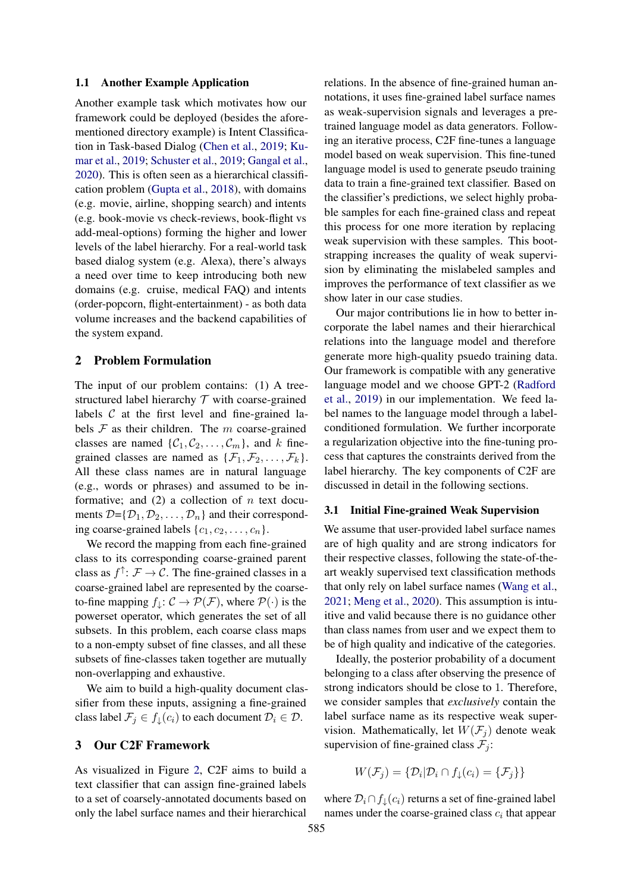#### 1.1 Another Example Application

Another example task which motivates how our framework could be deployed (besides the aforementioned directory example) is Intent Classification in Task-based Dialog [\(Chen et al.,](#page-9-2) [2019;](#page-9-2) [Ku](#page-9-3)[mar et al.,](#page-9-3) [2019;](#page-9-3) [Schuster et al.,](#page-9-4) [2019;](#page-9-4) [Gangal et al.,](#page-9-5) [2020\)](#page-9-5). This is often seen as a hierarchical classification problem [\(Gupta et al.,](#page-9-6) [2018\)](#page-9-6), with domains (e.g. movie, airline, shopping search) and intents (e.g. book-movie vs check-reviews, book-flight vs add-meal-options) forming the higher and lower levels of the label hierarchy. For a real-world task based dialog system (e.g. Alexa), there's always a need over time to keep introducing both new domains (e.g. cruise, medical FAQ) and intents (order-popcorn, flight-entertainment) - as both data volume increases and the backend capabilities of the system expand.

## 2 Problem Formulation

The input of our problem contains: (1) A treestructured label hierarchy  $T$  with coarse-grained labels  $C$  at the first level and fine-grained labels  $F$  as their children. The  $m$  coarse-grained classes are named  $\{C_1, C_2, \ldots, C_m\}$ , and k finegrained classes are named as  $\{\mathcal{F}_1, \mathcal{F}_2, \ldots, \mathcal{F}_k\}.$ All these class names are in natural language (e.g., words or phrases) and assumed to be informative; and  $(2)$  a collection of n text documents  $\mathcal{D} = {\mathcal{D}_1, \mathcal{D}_2, \ldots, \mathcal{D}_n}$  and their corresponding coarse-grained labels  $\{c_1, c_2, \ldots, c_n\}.$ 

We record the mapping from each fine-grained class to its corresponding coarse-grained parent class as  $f^{\uparrow}$ :  $\mathcal{F} \to \mathcal{C}$ . The fine-grained classes in a coarse-grained label are represented by the coarseto-fine mapping  $f_{\perp}: \mathcal{C} \to \mathcal{P}(\mathcal{F})$ , where  $\mathcal{P}(\cdot)$  is the powerset operator, which generates the set of all subsets. In this problem, each coarse class maps to a non-empty subset of fine classes, and all these subsets of fine-classes taken together are mutually non-overlapping and exhaustive.

We aim to build a high-quality document classifier from these inputs, assigning a fine-grained class label  $\mathcal{F}_i \in f_\perp(c_i)$  to each document  $\mathcal{D}_i \in \mathcal{D}$ .

#### 3 Our C2F Framework

As visualized in Figure [2,](#page-1-0) C2F aims to build a text classifier that can assign fine-grained labels to a set of coarsely-annotated documents based on only the label surface names and their hierarchical

relations. In the absence of fine-grained human annotations, it uses fine-grained label surface names as weak-supervision signals and leverages a pretrained language model as data generators. Following an iterative process, C2F fine-tunes a language model based on weak supervision. This fine-tuned language model is used to generate pseudo training data to train a fine-grained text classifier. Based on the classifier's predictions, we select highly probable samples for each fine-grained class and repeat this process for one more iteration by replacing weak supervision with these samples. This bootstrapping increases the quality of weak supervision by eliminating the mislabeled samples and improves the performance of text classifier as we show later in our case studies.

Our major contributions lie in how to better incorporate the label names and their hierarchical relations into the language model and therefore generate more high-quality psuedo training data. Our framework is compatible with any generative language model and we choose GPT-2 [\(Radford](#page-9-7) [et al.,](#page-9-7) [2019\)](#page-9-7) in our implementation. We feed label names to the language model through a labelconditioned formulation. We further incorporate a regularization objective into the fine-tuning process that captures the constraints derived from the label hierarchy. The key components of C2F are discussed in detail in the following sections.

#### 3.1 Initial Fine-grained Weak Supervision

We assume that user-provided label surface names are of high quality and are strong indicators for their respective classes, following the state-of-theart weakly supervised text classification methods that only rely on label surface names [\(Wang et al.,](#page-9-0) [2021;](#page-9-0) [Meng et al.,](#page-9-1) [2020\)](#page-9-1). This assumption is intuitive and valid because there is no guidance other than class names from user and we expect them to be of high quality and indicative of the categories.

Ideally, the posterior probability of a document belonging to a class after observing the presence of strong indicators should be close to 1. Therefore, we consider samples that *exclusively* contain the label surface name as its respective weak supervision. Mathematically, let  $W(\mathcal{F}_i)$  denote weak supervision of fine-grained class  $\mathcal{F}_i$ :

$$
W(\mathcal{F}_j) = \{ \mathcal{D}_i | \mathcal{D}_i \cap f_{\downarrow}(c_i) = \{ \mathcal{F}_j \} \}
$$

where  $\mathcal{D}_i \cap f_{\perp}(c_i)$  returns a set of fine-grained label names under the coarse-grained class  $c_i$  that appear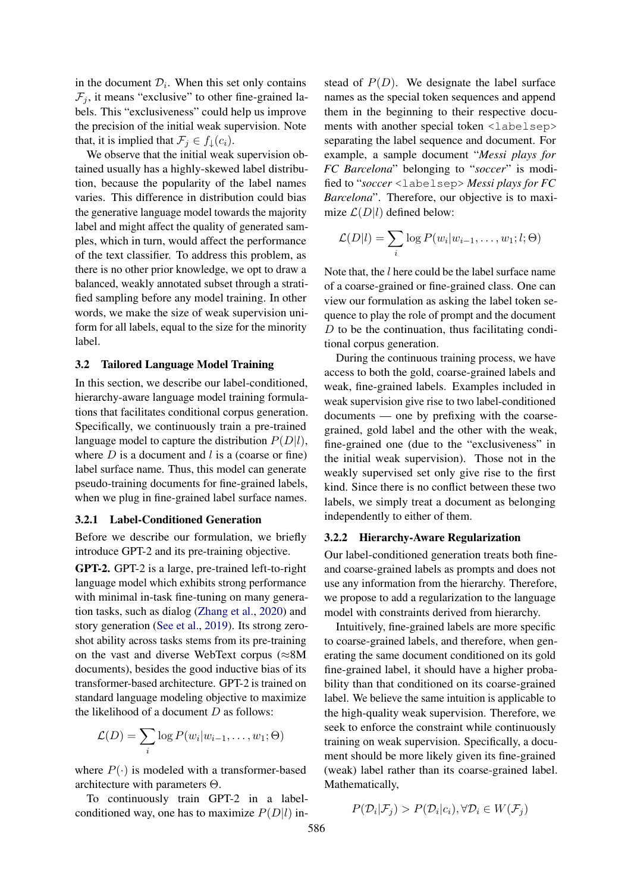in the document  $\mathcal{D}_i$ . When this set only contains  $\mathcal{F}_j$ , it means "exclusive" to other fine-grained labels. This "exclusiveness" could help us improve the precision of the initial weak supervision. Note that, it is implied that  $\mathcal{F}_j \in f_\downarrow(c_i)$ .

We observe that the initial weak supervision obtained usually has a highly-skewed label distribution, because the popularity of the label names varies. This difference in distribution could bias the generative language model towards the majority label and might affect the quality of generated samples, which in turn, would affect the performance of the text classifier. To address this problem, as there is no other prior knowledge, we opt to draw a balanced, weakly annotated subset through a stratified sampling before any model training. In other words, we make the size of weak supervision uniform for all labels, equal to the size for the minority label.

#### 3.2 Tailored Language Model Training

In this section, we describe our label-conditioned, hierarchy-aware language model training formulations that facilitates conditional corpus generation. Specifically, we continuously train a pre-trained language model to capture the distribution  $P(D|l)$ , where  $D$  is a document and  $l$  is a (coarse or fine) label surface name. Thus, this model can generate pseudo-training documents for fine-grained labels, when we plug in fine-grained label surface names.

## 3.2.1 Label-Conditioned Generation

Before we describe our formulation, we briefly introduce GPT-2 and its pre-training objective.

GPT-2. GPT-2 is a large, pre-trained left-to-right language model which exhibits strong performance with minimal in-task fine-tuning on many generation tasks, such as dialog [\(Zhang et al.,](#page-10-0) [2020\)](#page-10-0) and story generation [\(See et al.,](#page-9-8) [2019\)](#page-9-8). Its strong zeroshot ability across tasks stems from its pre-training on the vast and diverse WebText corpus ( $\approx 8M$ documents), besides the good inductive bias of its transformer-based architecture. GPT-2 is trained on standard language modeling objective to maximize the likelihood of a document  $D$  as follows:

$$
\mathcal{L}(D) = \sum_{i} \log P(w_i | w_{i-1}, \dots, w_1; \Theta)
$$

where  $P(\cdot)$  is modeled with a transformer-based architecture with parameters Θ.

To continuously train GPT-2 in a labelconditioned way, one has to maximize  $P(D|l)$  instead of  $P(D)$ . We designate the label surface names as the special token sequences and append them in the beginning to their respective documents with another special token <labelsep> separating the label sequence and document. For example, a sample document "*Messi plays for FC Barcelona*" belonging to "*soccer*" is modified to "*soccer* <labelsep> *Messi plays for FC Barcelona*". Therefore, our objective is to maximize  $\mathcal{L}(D|l)$  defined below:

$$
\mathcal{L}(D|l) = \sum_{i} \log P(w_i|w_{i-1},\ldots,w_1;l;\Theta)
$$

Note that, the  $l$  here could be the label surface name of a coarse-grained or fine-grained class. One can view our formulation as asking the label token sequence to play the role of prompt and the document  $D$  to be the continuation, thus facilitating conditional corpus generation.

During the continuous training process, we have access to both the gold, coarse-grained labels and weak, fine-grained labels. Examples included in weak supervision give rise to two label-conditioned documents — one by prefixing with the coarsegrained, gold label and the other with the weak, fine-grained one (due to the "exclusiveness" in the initial weak supervision). Those not in the weakly supervised set only give rise to the first kind. Since there is no conflict between these two labels, we simply treat a document as belonging independently to either of them.

## 3.2.2 Hierarchy-Aware Regularization

Our label-conditioned generation treats both fineand coarse-grained labels as prompts and does not use any information from the hierarchy. Therefore, we propose to add a regularization to the language model with constraints derived from hierarchy.

Intuitively, fine-grained labels are more specific to coarse-grained labels, and therefore, when generating the same document conditioned on its gold fine-grained label, it should have a higher probability than that conditioned on its coarse-grained label. We believe the same intuition is applicable to the high-quality weak supervision. Therefore, we seek to enforce the constraint while continuously training on weak supervision. Specifically, a document should be more likely given its fine-grained (weak) label rather than its coarse-grained label. Mathematically,

$$
P(\mathcal{D}_i|\mathcal{F}_j) > P(\mathcal{D}_i|c_i), \forall \mathcal{D}_i \in W(\mathcal{F}_j)
$$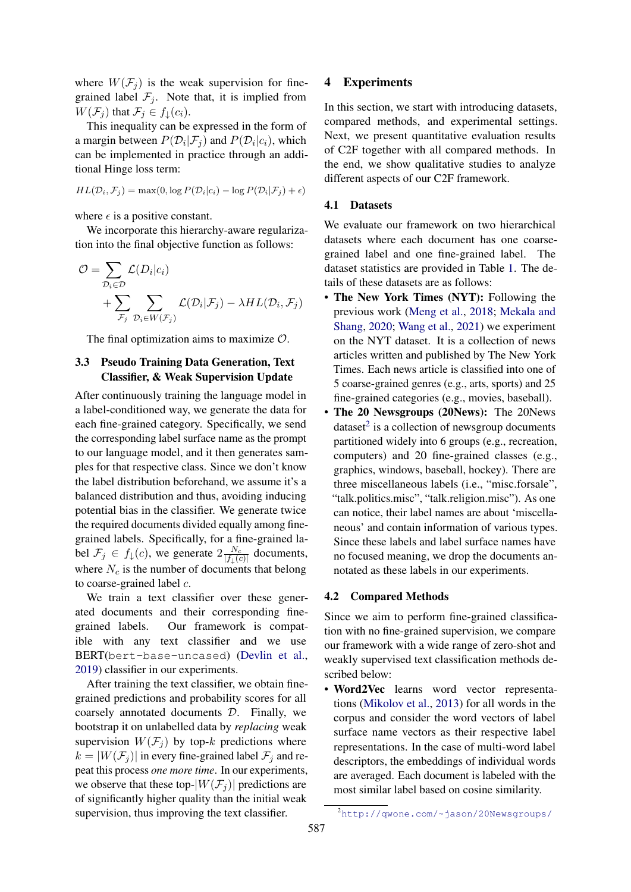where  $W(\mathcal{F}_i)$  is the weak supervision for finegrained label  $\mathcal{F}_j$ . Note that, it is implied from  $W(\mathcal{F}_i)$  that  $\mathcal{F}_i \in f(\mathcal{L}_i)$ .

This inequality can be expressed in the form of a margin between  $P(\mathcal{D}_i|\mathcal{F}_j)$  and  $P(\mathcal{D}_i|c_i)$ , which can be implemented in practice through an additional Hinge loss term:

$$
HL(\mathcal{D}_i, \mathcal{F}_j) = \max(0, \log P(\mathcal{D}_i|c_i) - \log P(\mathcal{D}_i|\mathcal{F}_j) + \epsilon)
$$

where  $\epsilon$  is a positive constant.

We incorporate this hierarchy-aware regularization into the final objective function as follows:

$$
\mathcal{O} = \sum_{\mathcal{D}_i \in \mathcal{D}} \mathcal{L}(D_i|c_i)
$$
  
+ 
$$
\sum_{\mathcal{F}_j} \sum_{\mathcal{D}_i \in W(\mathcal{F}_j)} \mathcal{L}(\mathcal{D}_i|\mathcal{F}_j) - \lambda HL(\mathcal{D}_i, \mathcal{F}_j)
$$

The final optimization aims to maximize  $\mathcal{O}$ .

## 3.3 Pseudo Training Data Generation, Text Classifier, & Weak Supervision Update

After continuously training the language model in a label-conditioned way, we generate the data for each fine-grained category. Specifically, we send the corresponding label surface name as the prompt to our language model, and it then generates samples for that respective class. Since we don't know the label distribution beforehand, we assume it's a balanced distribution and thus, avoiding inducing potential bias in the classifier. We generate twice the required documents divided equally among finegrained labels. Specifically, for a fine-grained label  $\mathcal{F}_j \in f_\downarrow(c)$ , we generate  $2\frac{N_c}{|f_\downarrow(c)|}$  $\frac{N_c}{|f_{\downarrow}(c)|}$  documents, where  $N_c$  is the number of documents that belong to coarse-grained label c.

We train a text classifier over these generated documents and their corresponding finegrained labels. Our framework is compatible with any text classifier and we use BERT(bert-base-uncased) [\(Devlin et al.,](#page-9-9) [2019\)](#page-9-9) classifier in our experiments.

After training the text classifier, we obtain finegrained predictions and probability scores for all coarsely annotated documents D. Finally, we bootstrap it on unlabelled data by *replacing* weak supervision  $W(\mathcal{F}_i)$  by top-k predictions where  $k = |W(\mathcal{F}_i)|$  in every fine-grained label  $\mathcal{F}_i$  and repeat this process *one more time*. In our experiments, we observe that these top- $|W(\mathcal{F}_j)|$  predictions are of significantly higher quality than the initial weak supervision, thus improving the text classifier.

## 4 Experiments

In this section, we start with introducing datasets, compared methods, and experimental settings. Next, we present quantitative evaluation results of C2F together with all compared methods. In the end, we show qualitative studies to analyze different aspects of our C2F framework.

## 4.1 Datasets

We evaluate our framework on two hierarchical datasets where each document has one coarsegrained label and one fine-grained label. The dataset statistics are provided in Table [1.](#page-5-0) The details of these datasets are as follows:

- The New York Times (NYT): Following the previous work [\(Meng et al.,](#page-9-10) [2018;](#page-9-10) [Mekala and](#page-9-11) [Shang,](#page-9-11) [2020;](#page-9-11) [Wang et al.,](#page-9-0) [2021\)](#page-9-0) we experiment on the NYT dataset. It is a collection of news articles written and published by The New York Times. Each news article is classified into one of 5 coarse-grained genres (e.g., arts, sports) and 25 fine-grained categories (e.g., movies, baseball).
- The 20 Newsgroups (20News): The 20News dataset $2$  is a collection of newsgroup documents partitioned widely into 6 groups (e.g., recreation, computers) and 20 fine-grained classes (e.g., graphics, windows, baseball, hockey). There are three miscellaneous labels (i.e., "misc.forsale", "talk.politics.misc", "talk.religion.misc"). As one can notice, their label names are about 'miscellaneous' and contain information of various types. Since these labels and label surface names have no focused meaning, we drop the documents annotated as these labels in our experiments.

#### 4.2 Compared Methods

Since we aim to perform fine-grained classification with no fine-grained supervision, we compare our framework with a wide range of zero-shot and weakly supervised text classification methods described below:

• Word2Vec learns word vector representations [\(Mikolov et al.,](#page-9-12) [2013\)](#page-9-12) for all words in the corpus and consider the word vectors of label surface name vectors as their respective label representations. In the case of multi-word label descriptors, the embeddings of individual words are averaged. Each document is labeled with the most similar label based on cosine similarity.

<span id="page-4-0"></span><sup>2</sup><http://qwone.com/~jason/20Newsgroups/>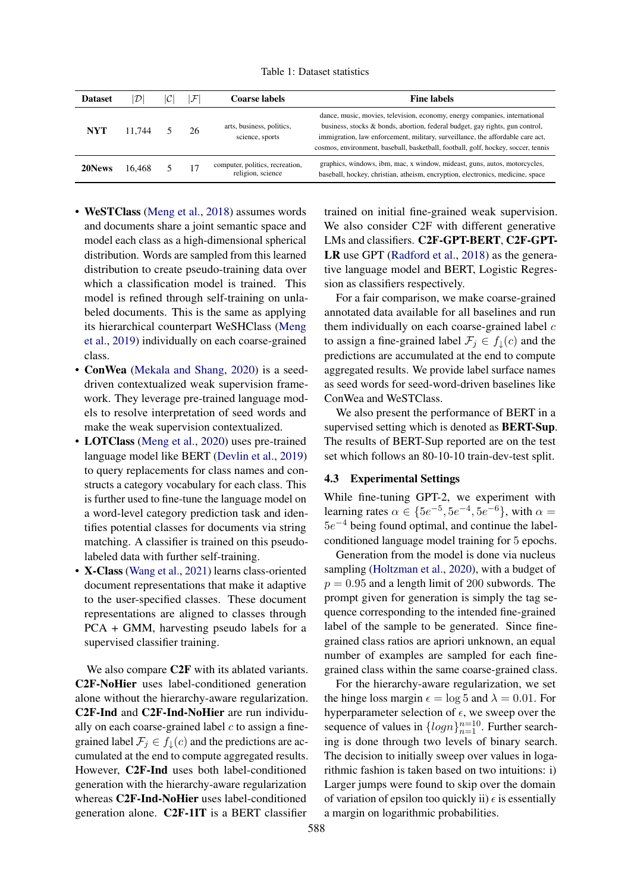Table 1: Dataset statistics

<span id="page-5-0"></span>

| <b>Dataset</b> | D      | $\mathcal{F}$ | Coarse labels                                        | <b>Fine labels</b>                                                                                                                                                                                                                                                                                                                |
|----------------|--------|---------------|------------------------------------------------------|-----------------------------------------------------------------------------------------------------------------------------------------------------------------------------------------------------------------------------------------------------------------------------------------------------------------------------------|
| <b>NYT</b>     | 11.744 | 26            | arts, business, politics,<br>science, sports         | dance, music, movies, television, economy, energy companies, international<br>business, stocks & bonds, abortion, federal budget, gay rights, gun control,<br>immigration, law enforcement, military, surveillance, the affordable care act,<br>cosmos, environment, baseball, basketball, football, golf, hockey, soccer, tennis |
| 20News         | 16.468 |               | computer, politics, recreation,<br>religion, science | graphics, windows, ibm, mac, x window, mideast, guns, autos, motorcycles,<br>baseball, hockey, christian, atheism, encryption, electronics, medicine, space                                                                                                                                                                       |

- WeSTClass [\(Meng et al.,](#page-9-10) [2018\)](#page-9-10) assumes words and documents share a joint semantic space and model each class as a high-dimensional spherical distribution. Words are sampled from this learned distribution to create pseudo-training data over which a classification model is trained. This model is refined through self-training on unlabeled documents. This is the same as applying its hierarchical counterpart WeSHClass [\(Meng](#page-9-13) [et al.,](#page-9-13) [2019\)](#page-9-13) individually on each coarse-grained class.
- ConWea [\(Mekala and Shang,](#page-9-11) [2020\)](#page-9-11) is a seeddriven contextualized weak supervision framework. They leverage pre-trained language models to resolve interpretation of seed words and make the weak supervision contextualized.
- **LOTClass** [\(Meng et al.,](#page-9-1) [2020\)](#page-9-1) uses pre-trained language model like BERT [\(Devlin et al.,](#page-9-9) [2019\)](#page-9-9) to query replacements for class names and constructs a category vocabulary for each class. This is further used to fine-tune the language model on a word-level category prediction task and identifies potential classes for documents via string matching. A classifier is trained on this pseudolabeled data with further self-training.
- X-Class [\(Wang et al.,](#page-9-0) [2021\)](#page-9-0) learns class-oriented document representations that make it adaptive to the user-specified classes. These document representations are aligned to classes through PCA + GMM, harvesting pseudo labels for a supervised classifier training.

We also compare C2F with its ablated variants. C2F-NoHier uses label-conditioned generation alone without the hierarchy-aware regularization. C2F-Ind and C2F-Ind-NoHier are run individually on each coarse-grained label  $c$  to assign a finegrained label  $\mathcal{F}_i \in f_\perp(c)$  and the predictions are accumulated at the end to compute aggregated results. However, C2F-Ind uses both label-conditioned generation with the hierarchy-aware regularization whereas C2F-Ind-NoHier uses label-conditioned generation alone. C2F-1IT is a BERT classifier

trained on initial fine-grained weak supervision. We also consider C2F with different generative LMs and classifiers. C2F-GPT-BERT, C2F-GPT-LR use GPT [\(Radford et al.,](#page-9-14) [2018\)](#page-9-14) as the generative language model and BERT, Logistic Regression as classifiers respectively.

For a fair comparison, we make coarse-grained annotated data available for all baselines and run them individually on each coarse-grained label  $c$ to assign a fine-grained label  $\mathcal{F}_i \in f_\downarrow(c)$  and the predictions are accumulated at the end to compute aggregated results. We provide label surface names as seed words for seed-word-driven baselines like ConWea and WeSTClass.

We also present the performance of BERT in a supervised setting which is denoted as BERT-Sup. The results of BERT-Sup reported are on the test set which follows an 80-10-10 train-dev-test split.

## 4.3 Experimental Settings

While fine-tuning GPT-2, we experiment with learning rates  $\alpha \in \{5e^{-5}, 5e^{-4}, 5e^{-6}\}$ , with  $\alpha =$  $5e^{-4}$  being found optimal, and continue the labelconditioned language model training for 5 epochs.

Generation from the model is done via nucleus sampling [\(Holtzman et al.,](#page-9-15) [2020\)](#page-9-15), with a budget of  $p = 0.95$  and a length limit of 200 subwords. The prompt given for generation is simply the tag sequence corresponding to the intended fine-grained label of the sample to be generated. Since finegrained class ratios are apriori unknown, an equal number of examples are sampled for each finegrained class within the same coarse-grained class.

For the hierarchy-aware regularization, we set the hinge loss margin  $\epsilon = \log 5$  and  $\lambda = 0.01$ . For hyperparameter selection of  $\epsilon$ , we sweep over the sequence of values in  $\{logn\}_{n=1}^{n=10}$ . Further searching is done through two levels of binary search. The decision to initially sweep over values in logarithmic fashion is taken based on two intuitions: i) Larger jumps were found to skip over the domain of variation of epsilon too quickly ii)  $\epsilon$  is essentially a margin on logarithmic probabilities.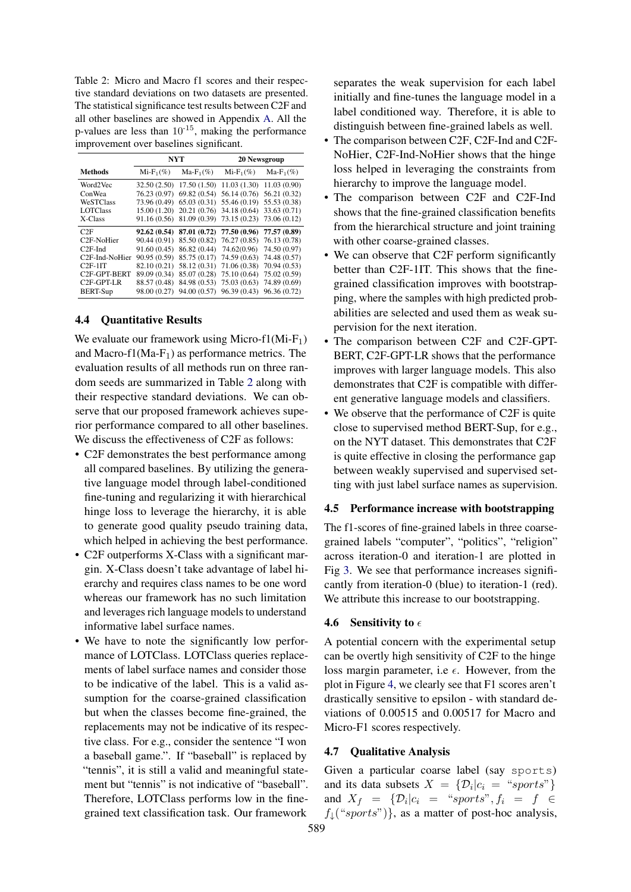<span id="page-6-0"></span>Table 2: Micro and Macro f1 scores and their respective standard deviations on two datasets are presented. The statistical significance test results between C2F and all other baselines are showed in Appendix [A.](#page-11-0) All the p-values are less than  $10^{-15}$ , making the performance improvement over baselines significant.

|                             | <b>NYT</b>   |              | 20 Newsgroup                           |              |
|-----------------------------|--------------|--------------|----------------------------------------|--------------|
| <b>Methods</b>              | $Mi-F_1(\%)$ | $Ma-F_1(\%)$ | $Mi-F_1(\%)$                           | $Ma-F_1(\%)$ |
| Word2Vec                    | 32.50(2.50)  |              | $17.50(1.50)$ $11.03(1.30)$            | 11.03(0.90)  |
| ConWea                      | 76.23 (0.97) |              | $69.82(0.54)$ 56.14 (0.76)             | 56.21 (0.32) |
| <b>WeSTClass</b>            | 73.96 (0.49) |              | $65.03(0.31)$ 55.46 $(0.19)$           | 55.53 (0.38) |
| <b>LOTClass</b>             | 15.00 (1.20) |              | 20.21 (0.76) 34.18 (0.64)              | 33.63 (0.71) |
| X-Class                     | 91.16 (0.56) |              | 81.09 (0.39) 73.15 (0.23) 73.06 (0.12) |              |
| C2F                         | 92.62(0.54)  |              | 87.01 (0.72) 77.50 (0.96) 77.57 (0.89) |              |
| C <sub>2</sub> F-NoHier     | 90.44 (0.91) |              | 85.50 (0.82) 76.27 (0.85) 76.13 (0.78) |              |
| $C2F-Ind$                   | 91.60 (0.45) |              | 86.82 (0.44) 74.62(0.96)               | 74.50 (0.97) |
| C <sub>2</sub> F-Ind-NoHier | 90.95 (0.59) |              | 85.75 (0.17) 74.59 (0.63)              | 74.48 (0.57) |
| $C2F-1IT$                   | 82.10 (0.21) |              | 58.12 (0.31) 71.06 (0.38)              | 70.94 (0.53) |
| C <sub>2</sub> F-GPT-BERT   | 89.09 (0.34) |              | 85.07 (0.28) 75.10 (0.64)              | 75.02 (0.59) |
| $C2F-GPT-LR$                | 88.57 (0.48) |              | 84.98 (0.53) 75.03 (0.63) 74.89 (0.69) |              |
| BERT-Sup                    | 98.00 (0.27) |              | 94.00 (0.57) 96.39 (0.43) 96.36 (0.72) |              |

#### 4.4 Quantitative Results

We evaluate our framework using Micro-f1(Mi-F<sub>1</sub>) and Macro-f1(Ma-F<sub>1</sub>) as performance metrics. The evaluation results of all methods run on three random seeds are summarized in Table [2](#page-6-0) along with their respective standard deviations. We can observe that our proposed framework achieves superior performance compared to all other baselines. We discuss the effectiveness of C2F as follows:

- C2F demonstrates the best performance among all compared baselines. By utilizing the generative language model through label-conditioned fine-tuning and regularizing it with hierarchical hinge loss to leverage the hierarchy, it is able to generate good quality pseudo training data, which helped in achieving the best performance.
- C2F outperforms X-Class with a significant margin. X-Class doesn't take advantage of label hierarchy and requires class names to be one word whereas our framework has no such limitation and leverages rich language models to understand informative label surface names.
- We have to note the significantly low performance of LOTClass. LOTClass queries replacements of label surface names and consider those to be indicative of the label. This is a valid assumption for the coarse-grained classification but when the classes become fine-grained, the replacements may not be indicative of its respective class. For e.g., consider the sentence "I won a baseball game.". If "baseball" is replaced by "tennis", it is still a valid and meaningful statement but "tennis" is not indicative of "baseball". Therefore, LOTClass performs low in the finegrained text classification task. Our framework

separates the weak supervision for each label initially and fine-tunes the language model in a label conditioned way. Therefore, it is able to distinguish between fine-grained labels as well.

- The comparison between C2F, C2F-Ind and C2F-NoHier, C2F-Ind-NoHier shows that the hinge loss helped in leveraging the constraints from hierarchy to improve the language model.
- The comparison between C2F and C2F-Ind shows that the fine-grained classification benefits from the hierarchical structure and joint training with other coarse-grained classes.
- We can observe that C2F perform significantly better than C2F-1IT. This shows that the finegrained classification improves with bootstrapping, where the samples with high predicted probabilities are selected and used them as weak supervision for the next iteration.
- The comparison between C2F and C2F-GPT-BERT, C2F-GPT-LR shows that the performance improves with larger language models. This also demonstrates that C2F is compatible with different generative language models and classifiers.
- We observe that the performance of C2F is quite close to supervised method BERT-Sup, for e.g., on the NYT dataset. This demonstrates that C2F is quite effective in closing the performance gap between weakly supervised and supervised setting with just label surface names as supervision.

## 4.5 Performance increase with bootstrapping

The f1-scores of fine-grained labels in three coarsegrained labels "computer", "politics", "religion" across iteration-0 and iteration-1 are plotted in Fig [3.](#page-7-0) We see that performance increases significantly from iteration-0 (blue) to iteration-1 (red). We attribute this increase to our bootstrapping.

#### 4.6 Sensitivity to  $\epsilon$

A potential concern with the experimental setup can be overtly high sensitivity of C2F to the hinge loss margin parameter, i.e  $\epsilon$ . However, from the plot in Figure [4,](#page-7-1) we clearly see that F1 scores aren't drastically sensitive to epsilon - with standard deviations of 0.00515 and 0.00517 for Macro and Micro-F1 scores respectively.

#### 4.7 Qualitative Analysis

Given a particular coarse label (say sports) and its data subsets  $X = \{D_i | c_i = "sports"\}$ and  $X_f = \{ \mathcal{D}_i | c_i = "sports", f_i = f \in$  $f_{\downarrow}$ ("sports")}, as a matter of post-hoc analysis,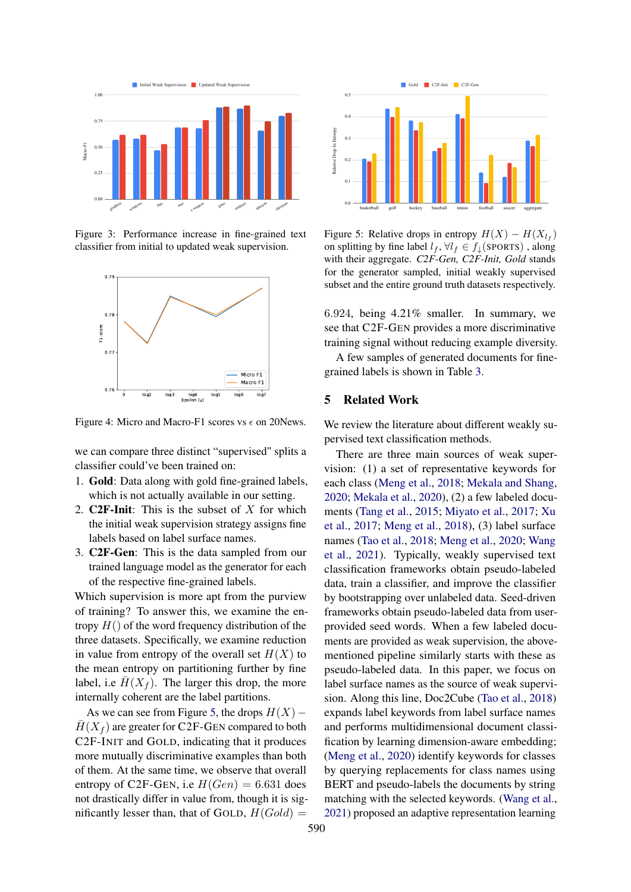<span id="page-7-0"></span>

<span id="page-7-1"></span>Figure 3: Performance increase in fine-grained text classifier from initial to updated weak supervision.



Figure 4: Micro and Macro-F1 scores vs  $\epsilon$  on 20News.

we can compare three distinct "supervised" splits a classifier could've been trained on:

- 1. Gold: Data along with gold fine-grained labels, which is not actually available in our setting.
- 2. **C2F-Init:** This is the subset of  $X$  for which the initial weak supervision strategy assigns fine labels based on label surface names.
- 3. C2F-Gen: This is the data sampled from our trained language model as the generator for each of the respective fine-grained labels.

Which supervision is more apt from the purview of training? To answer this, we examine the entropy  $H()$  of the word frequency distribution of the three datasets. Specifically, we examine reduction in value from entropy of the overall set  $H(X)$  to the mean entropy on partitioning further by fine label, i.e  $\overline{H}(X_f)$ . The larger this drop, the more internally coherent are the label partitions.

As we can see from Figure [5,](#page-7-2) the drops  $H(X)$  –  $\overline{H}(X_f)$  are greater for C2F-GEN compared to both C2F-INIT and GOLD, indicating that it produces more mutually discriminative examples than both of them. At the same time, we observe that overall entropy of C2F-GEN, i.e  $H(Gen) = 6.631$  does not drastically differ in value from, though it is significantly lesser than, that of GOLD,  $H(Gold)$ 

<span id="page-7-2"></span>

Figure 5: Relative drops in entropy  $H(X) - H(X_{l_f})$ on splitting by fine label  $l_f$ ,  $\forall l_f \in f_\downarrow$  (SPORTS), along with their aggregate. *C2F-Gen, C2F-Init, Gold* stands for the generator sampled, initial weakly supervised subset and the entire ground truth datasets respectively.

6.924, being 4.21% smaller. In summary, we see that C2F-GEN provides a more discriminative training signal without reducing example diversity.

A few samples of generated documents for finegrained labels is shown in Table [3.](#page-8-0)

## 5 Related Work

We review the literature about different weakly supervised text classification methods.

There are three main sources of weak supervision: (1) a set of representative keywords for each class [\(Meng et al.,](#page-9-10) [2018;](#page-9-10) [Mekala and Shang,](#page-9-11) [2020;](#page-9-11) [Mekala et al.,](#page-9-16) [2020\)](#page-9-16), (2) a few labeled documents [\(Tang et al.,](#page-9-17) [2015;](#page-9-17) [Miyato et al.,](#page-9-18) [2017;](#page-9-18) [Xu](#page-9-19) [et al.,](#page-9-19) [2017;](#page-9-19) [Meng et al.,](#page-9-10) [2018\)](#page-9-10), (3) label surface names [\(Tao et al.,](#page-9-20) [2018;](#page-9-20) [Meng et al.,](#page-9-1) [2020;](#page-9-1) [Wang](#page-9-0) [et al.,](#page-9-0) [2021\)](#page-9-0). Typically, weakly supervised text classification frameworks obtain pseudo-labeled data, train a classifier, and improve the classifier by bootstrapping over unlabeled data. Seed-driven frameworks obtain pseudo-labeled data from userprovided seed words. When a few labeled documents are provided as weak supervision, the abovementioned pipeline similarly starts with these as pseudo-labeled data. In this paper, we focus on label surface names as the source of weak supervision. Along this line, Doc2Cube [\(Tao et al.,](#page-9-20) [2018\)](#page-9-20) expands label keywords from label surface names and performs multidimensional document classification by learning dimension-aware embedding; [\(Meng et al.,](#page-9-1) [2020\)](#page-9-1) identify keywords for classes by querying replacements for class names using BERT and pseudo-labels the documents by string matching with the selected keywords. [\(Wang et al.,](#page-9-0) [2021\)](#page-9-0) proposed an adaptive representation learning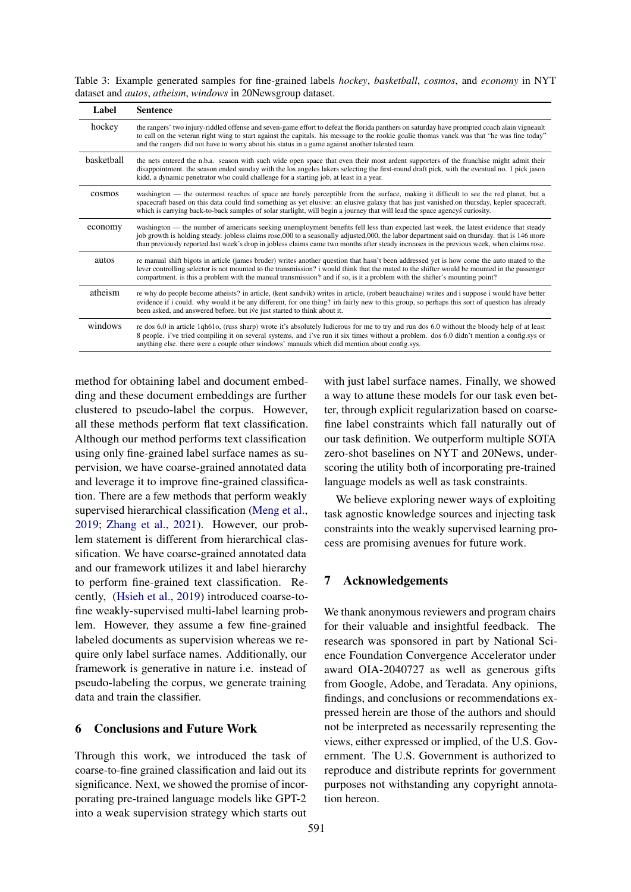<span id="page-8-0"></span>Table 3: Example generated samples for fine-grained labels *hockey*, *basketball*, *cosmos*, and *economy* in NYT dataset and *autos*, *atheism*, *windows* in 20Newsgroup dataset.

| Label      | <b>Sentence</b>                                                                                                                                                                                                                                                                                                                                                                                                                    |
|------------|------------------------------------------------------------------------------------------------------------------------------------------------------------------------------------------------------------------------------------------------------------------------------------------------------------------------------------------------------------------------------------------------------------------------------------|
| hockey     | the rangers' two injury-riddled offense and seven-game effort to defeat the florida panthers on saturday have prompted coach alain vigneault<br>to call on the veteran right wing to start against the capitals. his message to the rookie goalie thomas vanek was that "he was fine today"<br>and the rangers did not have to worry about his status in a game against another talented team.                                     |
| basketball | the nets entered the n.b.a. season with such wide open space that even their most ardent supporters of the franchise might admit their<br>disappointment. the season ended sunday with the los angeles lakers selecting the first-round draft pick, with the eventual no. 1 pick jason<br>kidd, a dynamic penetrator who could challenge for a starting job, at least in a year.                                                   |
| cosmos     | washington — the outermost reaches of space are barely perceptible from the surface, making it difficult to see the red planet, but a<br>spacecraft based on this data could find something as yet elusive: an elusive galaxy that has just vanished on thursday, kepler spacecraft,<br>which is carrying back-to-back samples of solar starlight, will begin a journey that will lead the space agencys curiosity.                |
| economy    | washington — the number of americans seeking unemployment benefits fell less than expected last week, the latest evidence that steady<br>job growth is holding steady, jobless claims rose,000 to a seasonally adjusted,000, the labor department said on thursday, that is 146 more<br>than previously reported.last week's drop in jobless claims came two months after steady increases in the previous week, when claims rose. |
| autos      | re manual shift bigots in article (james bruder) writes another question that hasn't been addressed yet is how come the auto mated to the<br>lever controlling selector is not mounted to the transmission? i would think that the mated to the shifter would be mounted in the passenger<br>compartment, is this a problem with the manual transmission? and if so, is it a problem with the shifter's mounting point?            |
| atheism    | re why do people become atheists? in article, (kent sandvik) writes in article, (robert beauchaine) writes and i suppose i would have better<br>evidence if i could. why would it be any different, for one thing? im fairly new to this group, so perhaps this sort of question has already<br>been asked, and answered before, but ive just started to think about it.                                                           |
| windows    | re dos 6.0 in article 1qh61o, (russ sharp) wrote it's absolutely ludicrous for me to try and run dos 6.0 without the bloody help of at least<br>8 people. i've tried compiling it on several systems, and i've run it six times without a problem. dos 6.0 didn't mention a config.sys or<br>anything else, there were a couple other windows' manuals which did mention about config.sys.                                         |

method for obtaining label and document embedding and these document embeddings are further clustered to pseudo-label the corpus. However, all these methods perform flat text classification. Although our method performs text classification using only fine-grained label surface names as supervision, we have coarse-grained annotated data and leverage it to improve fine-grained classification. There are a few methods that perform weakly supervised hierarchical classification [\(Meng et al.,](#page-9-13) [2019;](#page-9-13) [Zhang et al.,](#page-10-1) [2021\)](#page-10-1). However, our problem statement is different from hierarchical classification. We have coarse-grained annotated data and our framework utilizes it and label hierarchy to perform fine-grained text classification. Recently, [\(Hsieh et al.,](#page-9-21) [2019\)](#page-9-21) introduced coarse-tofine weakly-supervised multi-label learning problem. However, they assume a few fine-grained labeled documents as supervision whereas we require only label surface names. Additionally, our framework is generative in nature i.e. instead of pseudo-labeling the corpus, we generate training data and train the classifier.

## 6 Conclusions and Future Work

Through this work, we introduced the task of coarse-to-fine grained classification and laid out its significance. Next, we showed the promise of incorporating pre-trained language models like GPT-2 into a weak supervision strategy which starts out

with just label surface names. Finally, we showed a way to attune these models for our task even better, through explicit regularization based on coarsefine label constraints which fall naturally out of our task definition. We outperform multiple SOTA zero-shot baselines on NYT and 20News, underscoring the utility both of incorporating pre-trained language models as well as task constraints.

We believe exploring newer ways of exploiting task agnostic knowledge sources and injecting task constraints into the weakly supervised learning process are promising avenues for future work.

## 7 Acknowledgements

We thank anonymous reviewers and program chairs for their valuable and insightful feedback. The research was sponsored in part by National Science Foundation Convergence Accelerator under award OIA-2040727 as well as generous gifts from Google, Adobe, and Teradata. Any opinions, findings, and conclusions or recommendations expressed herein are those of the authors and should not be interpreted as necessarily representing the views, either expressed or implied, of the U.S. Government. The U.S. Government is authorized to reproduce and distribute reprints for government purposes not withstanding any copyright annotation hereon.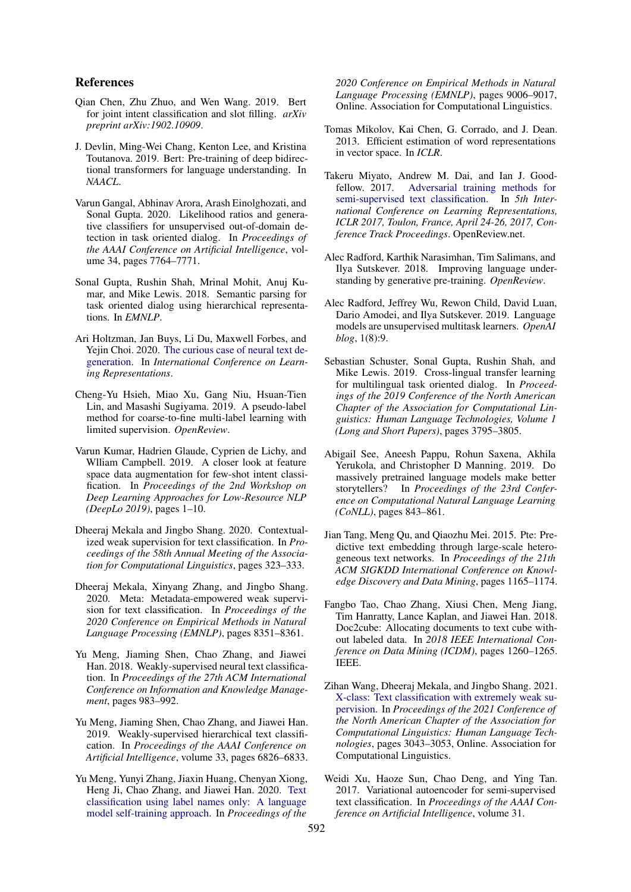## References

- <span id="page-9-2"></span>Qian Chen, Zhu Zhuo, and Wen Wang. 2019. Bert for joint intent classification and slot filling. *arXiv preprint arXiv:1902.10909*.
- <span id="page-9-9"></span>J. Devlin, Ming-Wei Chang, Kenton Lee, and Kristina Toutanova. 2019. Bert: Pre-training of deep bidirectional transformers for language understanding. In *NAACL*.
- <span id="page-9-5"></span>Varun Gangal, Abhinav Arora, Arash Einolghozati, and Sonal Gupta. 2020. Likelihood ratios and generative classifiers for unsupervised out-of-domain detection in task oriented dialog. In *Proceedings of the AAAI Conference on Artificial Intelligence*, volume 34, pages 7764–7771.
- <span id="page-9-6"></span>Sonal Gupta, Rushin Shah, Mrinal Mohit, Anuj Kumar, and Mike Lewis. 2018. Semantic parsing for task oriented dialog using hierarchical representations. In *EMNLP*.
- <span id="page-9-15"></span>Ari Holtzman, Jan Buys, Li Du, Maxwell Forbes, and Yejin Choi. 2020. [The curious case of neural text de](https://openreview.net/forum?id=rygGQyrFvH)[generation.](https://openreview.net/forum?id=rygGQyrFvH) In *International Conference on Learning Representations*.
- <span id="page-9-21"></span>Cheng-Yu Hsieh, Miao Xu, Gang Niu, Hsuan-Tien Lin, and Masashi Sugiyama. 2019. A pseudo-label method for coarse-to-fine multi-label learning with limited supervision. *OpenReview*.
- <span id="page-9-3"></span>Varun Kumar, Hadrien Glaude, Cyprien de Lichy, and Wlliam Campbell. 2019. A closer look at feature space data augmentation for few-shot intent classification. In *Proceedings of the 2nd Workshop on Deep Learning Approaches for Low-Resource NLP (DeepLo 2019)*, pages 1–10.
- <span id="page-9-11"></span>Dheeraj Mekala and Jingbo Shang. 2020. Contextualized weak supervision for text classification. In *Proceedings of the 58th Annual Meeting of the Association for Computational Linguistics*, pages 323–333.
- <span id="page-9-16"></span>Dheeraj Mekala, Xinyang Zhang, and Jingbo Shang. 2020. Meta: Metadata-empowered weak supervision for text classification. In *Proceedings of the 2020 Conference on Empirical Methods in Natural Language Processing (EMNLP)*, pages 8351–8361.
- <span id="page-9-10"></span>Yu Meng, Jiaming Shen, Chao Zhang, and Jiawei Han. 2018. Weakly-supervised neural text classification. In *Proceedings of the 27th ACM International Conference on Information and Knowledge Management*, pages 983–992.
- <span id="page-9-13"></span>Yu Meng, Jiaming Shen, Chao Zhang, and Jiawei Han. 2019. Weakly-supervised hierarchical text classification. In *Proceedings of the AAAI Conference on Artificial Intelligence*, volume 33, pages 6826–6833.
- <span id="page-9-1"></span>Yu Meng, Yunyi Zhang, Jiaxin Huang, Chenyan Xiong, Heng Ji, Chao Zhang, and Jiawei Han. 2020. [Text](https://doi.org/10.18653/v1/2020.emnlp-main.724) [classification using label names only: A language](https://doi.org/10.18653/v1/2020.emnlp-main.724) [model self-training approach.](https://doi.org/10.18653/v1/2020.emnlp-main.724) In *Proceedings of the*

*2020 Conference on Empirical Methods in Natural Language Processing (EMNLP)*, pages 9006–9017, Online. Association for Computational Linguistics.

- <span id="page-9-12"></span>Tomas Mikolov, Kai Chen, G. Corrado, and J. Dean. 2013. Efficient estimation of word representations in vector space. In *ICLR*.
- <span id="page-9-18"></span>Takeru Miyato, Andrew M. Dai, and Ian J. Goodfellow. 2017. [Adversarial training methods for](https://openreview.net/forum?id=r1X3g2_xl) [semi-supervised text classification.](https://openreview.net/forum?id=r1X3g2_xl) In *5th International Conference on Learning Representations, ICLR 2017, Toulon, France, April 24-26, 2017, Conference Track Proceedings*. OpenReview.net.
- <span id="page-9-14"></span>Alec Radford, Karthik Narasimhan, Tim Salimans, and Ilya Sutskever. 2018. Improving language understanding by generative pre-training. *OpenReview*.
- <span id="page-9-7"></span>Alec Radford, Jeffrey Wu, Rewon Child, David Luan, Dario Amodei, and Ilya Sutskever. 2019. Language models are unsupervised multitask learners. *OpenAI blog*, 1(8):9.
- <span id="page-9-4"></span>Sebastian Schuster, Sonal Gupta, Rushin Shah, and Mike Lewis. 2019. Cross-lingual transfer learning for multilingual task oriented dialog. In *Proceedings of the 2019 Conference of the North American Chapter of the Association for Computational Linguistics: Human Language Technologies, Volume 1 (Long and Short Papers)*, pages 3795–3805.
- <span id="page-9-8"></span>Abigail See, Aneesh Pappu, Rohun Saxena, Akhila Yerukola, and Christopher D Manning. 2019. Do massively pretrained language models make better storytellers? In *Proceedings of the 23rd Conference on Computational Natural Language Learning (CoNLL)*, pages 843–861.
- <span id="page-9-17"></span>Jian Tang, Meng Qu, and Qiaozhu Mei. 2015. Pte: Predictive text embedding through large-scale heterogeneous text networks. In *Proceedings of the 21th ACM SIGKDD International Conference on Knowledge Discovery and Data Mining*, pages 1165–1174.
- <span id="page-9-20"></span>Fangbo Tao, Chao Zhang, Xiusi Chen, Meng Jiang, Tim Hanratty, Lance Kaplan, and Jiawei Han. 2018. Doc2cube: Allocating documents to text cube without labeled data. In *2018 IEEE International Conference on Data Mining (ICDM)*, pages 1260–1265. IEEE.
- <span id="page-9-0"></span>Zihan Wang, Dheeraj Mekala, and Jingbo Shang. 2021. [X-class: Text classification with extremely weak su](https://doi.org/10.18653/v1/2021.naacl-main.242)[pervision.](https://doi.org/10.18653/v1/2021.naacl-main.242) In *Proceedings of the 2021 Conference of the North American Chapter of the Association for Computational Linguistics: Human Language Technologies*, pages 3043–3053, Online. Association for Computational Linguistics.
- <span id="page-9-19"></span>Weidi Xu, Haoze Sun, Chao Deng, and Ying Tan. 2017. Variational autoencoder for semi-supervised text classification. In *Proceedings of the AAAI Conference on Artificial Intelligence*, volume 31.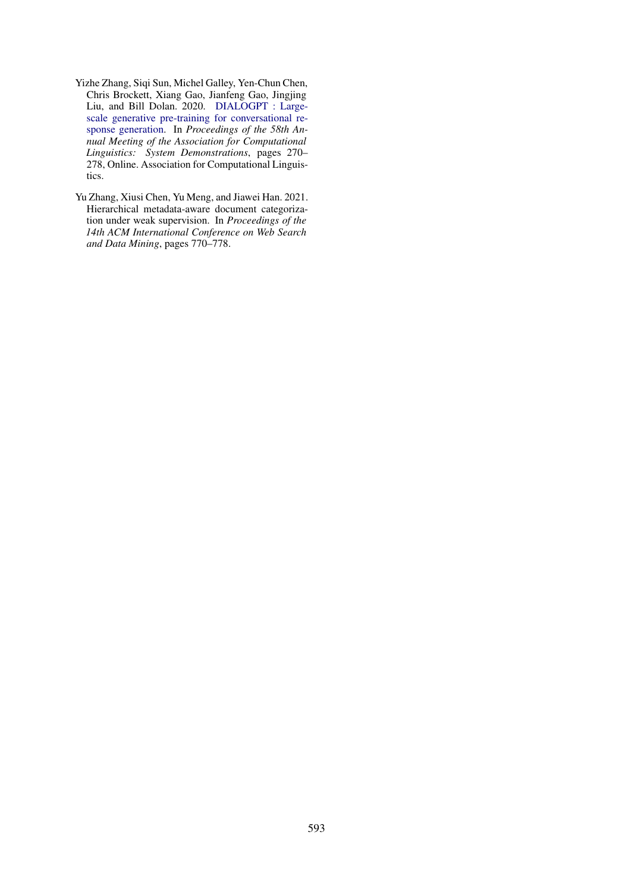- <span id="page-10-0"></span>Yizhe Zhang, Siqi Sun, Michel Galley, Yen-Chun Chen, Chris Brockett, Xiang Gao, Jianfeng Gao, Jingjing Liu, and Bill Dolan. 2020. [DIALOGPT : Large](https://doi.org/10.18653/v1/2020.acl-demos.30)[scale generative pre-training for conversational re](https://doi.org/10.18653/v1/2020.acl-demos.30)[sponse generation.](https://doi.org/10.18653/v1/2020.acl-demos.30) In *Proceedings of the 58th Annual Meeting of the Association for Computational Linguistics: System Demonstrations*, pages 270– 278, Online. Association for Computational Linguistics.
- <span id="page-10-1"></span>Yu Zhang, Xiusi Chen, Yu Meng, and Jiawei Han. 2021. Hierarchical metadata-aware document categorization under weak supervision. In *Proceedings of the 14th ACM International Conference on Web Search and Data Mining*, pages 770–778.